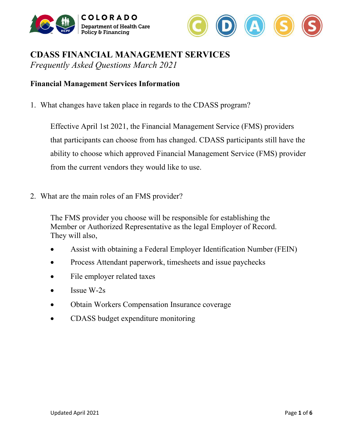



# **CDASS FINANCIAL MANAGEMENT SERVICES**  *Frequently Asked Questions March 2021*

## **Financial Management Services Information**

1. What changes have taken place in regards to the CDASS program?

Effective April 1st 2021, the Financial Management Service (FMS) providers that participants can choose from has changed. CDASS participants still have the ability to choose which approved Financial Management Service (FMS) provider from the current vendors they would like to use.

2. What are the main roles of an FMS provider?

The FMS provider you choose will be responsible for establishing the Member or Authorized Representative as the legal Employer of Record. They will also,

- Assist with obtaining a Federal Employer Identification Number (FEIN)
- Process Attendant paperwork, timesheets and issue paychecks
- File employer related taxes
- Issue  $W-2s$
- Obtain Workers Compensation Insurance coverage
- CDASS budget expenditure monitoring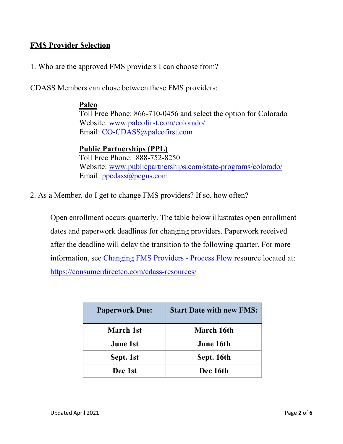# **FMS Provider Selection**

1. Who are the approved FMS providers I can choose from?

CDASS Members can chose between these FMS providers:

### **Palco**

Toll Free Phone: 866-710-0456 and select the option for Colorado Website: [www.palcofirst.com/colorado/](http://www.palcofirst.com/colorado/) Email: [CO-CDASS@palcofirst.com](mailto:CO-CDASS@palcofirst.com)

## **Public Partnerships (PPL)**

Toll Free Phone: 888-752-8250 Website: [www.publicpartnerships.com/](http://www.publicpartnerships.com/state-programs/colorado/)state-programs/colorado/ Email: [ppcdass@pcgus.com](mailto:ppcdass@pcgus.com)

2. As a Member, do I get to change FMS providers? If so, how often?

Open enrollment occurs quarterly. The table below illustrates open enrollment dates and paperwork deadlines for changing providers. Paperwork received after the deadline will delay the transition to the following quarter. For more information, see Changing FMS Providers - Process Flow resource located at: <https://consumerdirectco.com/cdass-resources/>

| <b>Paperwork Due:</b> | <b>Start Date with new FMS:</b> |  |
|-----------------------|---------------------------------|--|
| <b>March 1st</b>      | <b>March 16th</b>               |  |
| <b>June 1st</b>       | <b>June 16th</b>                |  |
| Sept. 1st             | Sept. 16th                      |  |
| Dec 1st               | Dec 16th                        |  |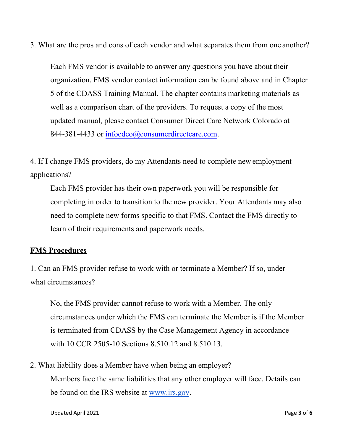3. What are the pros and cons of each vendor and what separates them from one another?

Each FMS vendor is available to answer any questions you have about their organization. FMS vendor contact information can be found above and in Chapter 5 of the CDASS Training Manual. The chapter contains marketing materials as well as a comparison chart of the providers. To request a copy of the most updated manual, please contact Consumer Direct Care Network Colorado at 844-381-44[33 or infocdco@consumerdirectcare.co](mailto:infocdco@consumerdirectcare.com)m.

4. If I change FMS providers, do my Attendants need to complete new employment applications?

Each FMS provider has their own paperwork you will be responsible for completing in order to transition to the new provider. Your Attendants may also need to complete new forms specific to that FMS. Contact the FMS directly to learn of their requirements and paperwork needs.

## **FMS Procedures**

1. Can an FMS provider refuse to work with or terminate a Member? If so, under what circumstances?

No, the FMS provider cannot refuse to work with a Member. The only circumstances under which the FMS can terminate the Member is if the Member is terminated from CDASS by the Case Management Agency in accordance with 10 CCR 2505-10 Sections 8.510.12 and 8.510.13.

2. What liability does a Member have when being an employer? Members face the same liabilities that any other employer will face. Details can be found on the IRS website at [www.irs.gov.](http://www.irs.gov)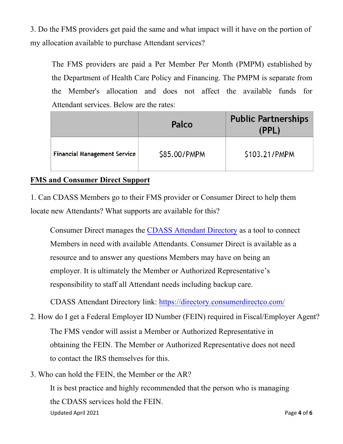3. Do the FMS providers get paid the same and what impact will it have on the portion of my allocation available to purchase Attendant services?

The FMS providers are paid a Per Member Per Month (PMPM) established by the Department of Health Care Policy and Financing. The PMPM is separate from the Member's allocation and does not affect the available funds for Attendant services. Below are the rates:

|                                     | Palco        | <b>Public Partnerships</b><br>(PPL) |
|-------------------------------------|--------------|-------------------------------------|
| <b>Financial Management Service</b> | \$85.00/PMPM | \$103.21/PMPM                       |

# **FMS and Consumer Direct Support**

1. Can CDASS Members go to their FMS provider or Consumer Direct to help them locate new Attendants? What supports are available for this?

Consumer Direct manages the CDASS Attendant Directory as a tool to connect Members in need with available Attendants. Consumer Direct is available as a resource and to answer any questions Members may have on being an employer. It is ultimately the Member or Authorized Representative's responsibility to staff all Attendant needs including backup care.

CDASS Attendant Directory link: [https://directory.consumerdirectco.com](https://directory.consumerdirectco.com/)/

- 2. How do I get a Federal Employer ID Number (FEIN) required in Fiscal/Employer Agent? The FMS vendor will assist a Member or Authorized Representative in obtaining the FEIN. The Member or Authorized Representative does not need to contact the IRS themselves for this.
- Updated April 2021 **Page 4** of **6** 3. Who can hold the FEIN, the Member or the AR? It is best practice and highly recommended that the person who is managing the CDASS services hold the FEIN.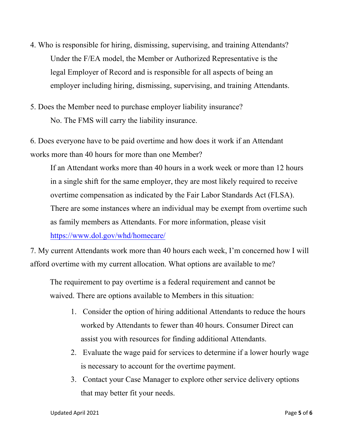- 4. Who is responsible for hiring, dismissing, supervising, and training Attendants? Under the F/EA model, the Member or Authorized Representative is the legal Employer of Record and is responsible for all aspects of being an employer including hiring, dismissing, supervising, and training Attendants.
- 5. Does the Member need to purchase employer liability insurance? No. The FMS will carry the liability insurance.

6. Does everyone have to be paid overtime and how does it work if an Attendant works more than 40 hours for more than one Member?

If an Attendant works more than 40 hours in a work week or more than 12 hours in a single shift for the same employer, they are most likely required to receive overtime compensation as indicated by the Fair Labor Standards Act (FLSA). There are some instances where an individual may be exempt from overtime such as family members as Attendants. For more information, please visi[t](https://www.dol.gov/whd/homecare/)  [https://www.dol.gov/whd/homec](https://www.dol.gov/whd/homecare/)are/

7. My current Attendants work more than 40 hours each week, I'm concerned how I will afford overtime with my current allocation. What options are available to me?

The requirement to pay overtime is a federal requirement and cannot be waived. There are options available to Members in this situation:

- 1. Consider the option of hiring additional Attendants to reduce the hours worked by Attendants to fewer than 40 hours. Consumer Direct can assist you with resources for finding additional Attendants.
- 2. Evaluate the wage paid for services to determine if a lower hourly wage is necessary to account for the overtime payment.
- 3. Contact your Case Manager to explore other service delivery options that may better fit your needs.